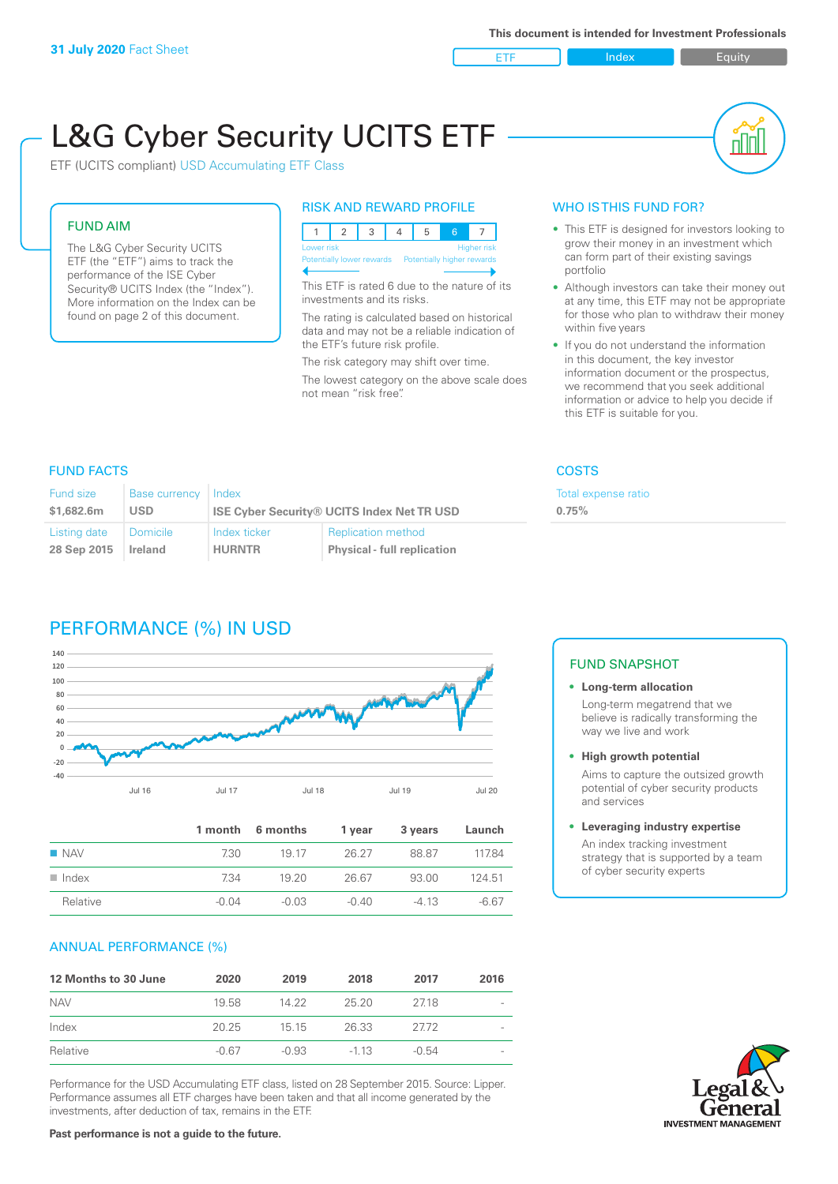ETF Index Buity

ul III

# L&G Cyber Security UCITS ETF

ETF (UCITS compliant) USD Accumulating ETF Class

#### FUND AIM

The L&G Cyber Security UCITS ETF (the "ETF") aims to track the performance of the ISE Cyber Security® UCITS Index (the "Index"). More information on the Index can be found on page 2 of this document.

#### RISK AND REWARD PROFILE

| Lower risk<br>Higher risk |  |  |  |                                                      |  |  |  |
|---------------------------|--|--|--|------------------------------------------------------|--|--|--|
|                           |  |  |  | Potentially lower rewards Potentially higher rewards |  |  |  |
|                           |  |  |  |                                                      |  |  |  |

This ETF is rated 6 due to the nature of its investments and its risks.

The rating is calculated based on historical data and may not be a reliable indication of the ETF's future risk profile.

The risk category may shift over time. The lowest category on the above scale does not mean "risk free".

#### WHO IS THIS FUND FOR?

- This ETF is designed for investors looking to grow their money in an investment which can form part of their existing savings portfolio
- Although investors can take their money out at any time, this ETF may not be appropriate for those who plan to withdraw their money within five years
- If you do not understand the information in this document, the key investor information document or the prospectus, we recommend that you seek additional information or advice to help you decide if this ETF is suitable for you.

**0.75%**

Total expense ratio

#### FUND FACTS COSTS

| Fund size<br>Base currency<br>\$1,682,6m<br><b>USD</b> |          | Index<br><b>ISE Cyber Security® UCITS Index Net TR USD</b> |                                    |  |  |
|--------------------------------------------------------|----------|------------------------------------------------------------|------------------------------------|--|--|
| Listing date                                           | Domicile | Index ticker                                               | <b>Replication method</b>          |  |  |
| 28 Sep 2015                                            | Ireland  | <b>HURNTR</b>                                              | <b>Physical - full replication</b> |  |  |

# PERFORMANCE (%) IN USD



|                      |       | 1 month 6 months | 1 year  | 3 years | Launch  |
|----------------------|-------|------------------|---------|---------|---------|
| $\blacksquare$ NAV   | 730.  | 19 17            | 26.27   | 88.87   | 11784   |
| $\blacksquare$ Index | 734   | 19.20            | 26.67   | 93.00   | 124.51  |
| Relative             | -0.04 | $-0.03$          | $-0.40$ | $-4.13$ | $-6.67$ |

#### ANNUAL PERFORMANCE (%)

| 12 Months to 30 June | 2020    | 2019    | 2018   | 2017    | 2016 |
|----------------------|---------|---------|--------|---------|------|
| <b>NAV</b>           | 19.58   | 14.22   | 25.20  | 2718    |      |
| Index                | 20.25   | 15 15   | 26.33  | 2772    |      |
| Relative             | $-0.67$ | $-0.93$ | $-113$ | $-0.54$ |      |

Performance for the USD Accumulating ETF class, listed on 28 September 2015. Source: Lipper. Performance assumes all ETF charges have been taken and that all income generated by the investments, after deduction of tax, remains in the ETF.

#### FUND SNAPSHOT

#### **• Long-term allocation** Long-term megatrend that we believe is radically transforming the way we live and work

**• High growth potential**

Aims to capture the outsized growth potential of cyber security products and services

#### **• Leveraging industry expertise**

An index tracking investment strategy that is supported by a team of cyber security experts

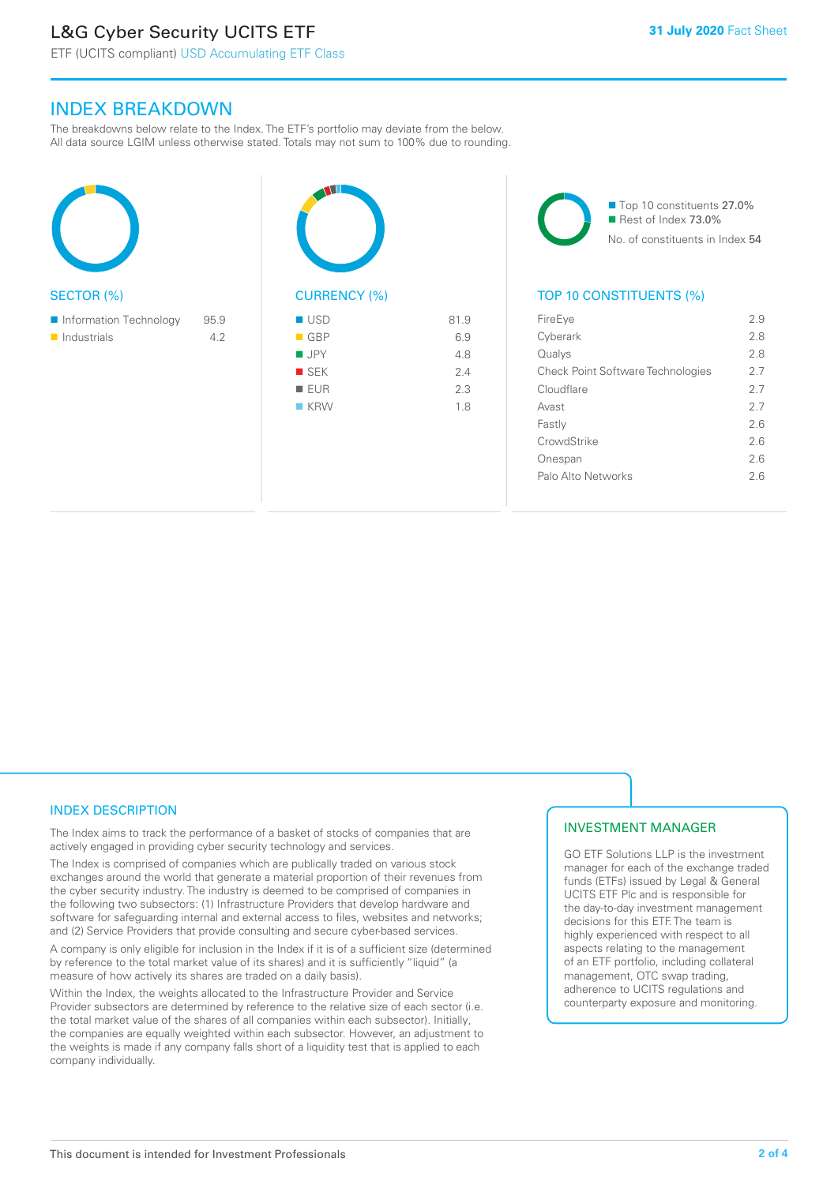# L&G Cyber Security UCITS ETF

### INDEX BREAKDOWN

The breakdowns below relate to the Index. The ETF's portfolio may deviate from the below. All data source LGIM unless otherwise stated. Totals may not sum to 100% due to rounding.







#### TOP 10 CONSTITUENTS (%)

| FireEye                                  | 29 |
|------------------------------------------|----|
| Cyberark                                 | 28 |
| Qualys                                   | 28 |
| <b>Check Point Software Technologies</b> | 27 |
| Cloudflare                               | 27 |
| Avast                                    | 27 |
| Fastly                                   | 26 |
| CrowdStrike                              | 26 |
| Onespan                                  | 26 |
| Palo Alto Networks                       | 26 |
|                                          |    |

#### INDEX DESCRIPTION

The Index aims to track the performance of a basket of stocks of companies that are actively engaged in providing cyber security technology and services.

The Index is comprised of companies which are publically traded on various stock exchanges around the world that generate a material proportion of their revenues from the cyber security industry. The industry is deemed to be comprised of companies in the following two subsectors: (1) Infrastructure Providers that develop hardware and software for safeguarding internal and external access to files, websites and networks; and (2) Service Providers that provide consulting and secure cyber-based services.

A company is only eligible for inclusion in the Index if it is of a sufficient size (determined by reference to the total market value of its shares) and it is sufficiently "liquid" (a measure of how actively its shares are traded on a daily basis).

Within the Index, the weights allocated to the Infrastructure Provider and Service Provider subsectors are determined by reference to the relative size of each sector (i.e. the total market value of the shares of all companies within each subsector). Initially, the companies are equally weighted within each subsector. However, an adjustment to the weights is made if any company falls short of a liquidity test that is applied to each company individually.

#### INVESTMENT MANAGER

GO ETF Solutions LLP is the investment manager for each of the exchange traded funds (ETFs) issued by Legal & General UCITS ETF Plc and is responsible for the day-to-day investment management decisions for this ETF. The team is highly experienced with respect to all aspects relating to the management of an ETF portfolio, including collateral management, OTC swap trading, adherence to UCITS regulations and counterparty exposure and monitoring.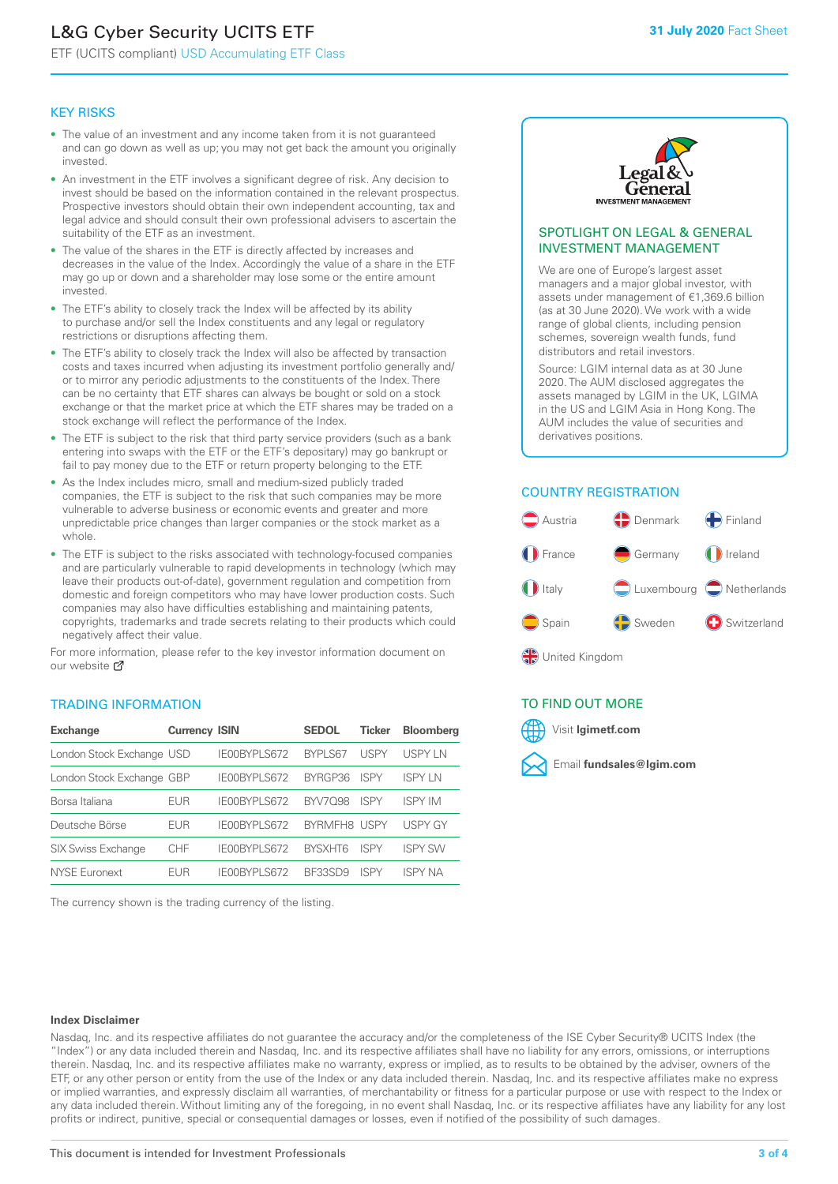# L&G Cyber Security UCITS ETF

ETF (UCITS compliant) USD Accumulating ETF Class

#### KEY RISKS

- The value of an investment and any income taken from it is not guaranteed and can go down as well as up; you may not get back the amount you originally invested.
- An investment in the ETF involves a significant degree of risk. Any decision to invest should be based on the information contained in the relevant prospectus. Prospective investors should obtain their own independent accounting, tax and legal advice and should consult their own professional advisers to ascertain the suitability of the ETF as an investment.
- The value of the shares in the ETF is directly affected by increases and decreases in the value of the Index. Accordingly the value of a share in the ETF may go up or down and a shareholder may lose some or the entire amount invested.
- The ETF's ability to closely track the Index will be affected by its ability to purchase and/or sell the Index constituents and any legal or regulatory restrictions or disruptions affecting them.
- The ETF's ability to closely track the Index will also be affected by transaction costs and taxes incurred when adjusting its investment portfolio generally and/ or to mirror any periodic adjustments to the constituents of the Index. There can be no certainty that ETF shares can always be bought or sold on a stock exchange or that the market price at which the ETF shares may be traded on a stock exchange will reflect the performance of the Index.
- The ETF is subject to the risk that third party service providers (such as a bank entering into swaps with the ETF or the ETF's depositary) may go bankrupt or fail to pay money due to the ETF or return property belonging to the ETF.
- As the Index includes micro, small and medium-sized publicly traded companies, the ETF is subject to the risk that such companies may be more vulnerable to adverse business or economic events and greater and more unpredictable price changes than larger companies or the stock market as a whole.
- The ETF is subject to the risks associated with technology-focused companies and are particularly vulnerable to rapid developments in technology (which may leave their products out-of-date), government regulation and competition from domestic and foreign competitors who may have lower production costs. Such companies may also have difficulties establishing and maintaining patents, copyrights, trademarks and trade secrets relating to their products which could negatively affect their value.

For more information, please refer to the key investor information document on our website Ø

#### TRADING INFORMATION

| <b>Exchange</b>           | <b>Currency ISIN</b> |              | <b>SEDOL</b>        | <b>Ticker</b> | <b>Bloomberg</b> |
|---------------------------|----------------------|--------------|---------------------|---------------|------------------|
| London Stock Exchange USD |                      | IE00BYPLS672 | <b>BYPLS67</b>      | USPY          | USPY IN          |
| London Stock Exchange GBP |                      | IE00BYPLS672 | BYRGP36             | <b>ISPY</b>   | <b>ISPY LN</b>   |
| Borsa Italiana            | EUR                  | IE00BYPLS672 | <b>BYV7098</b>      | <b>ISPY</b>   | <b>ISPY IM</b>   |
| Deutsche Börse            | EUR                  | IE00BYPLS672 | <b>BYRMEH8 USPY</b> |               | <b>USPY GY</b>   |
| <b>SIX Swiss Exchange</b> | CHF                  | IE00BYPLS672 | <b>RYSXHT6</b>      | <b>ISPY</b>   | <b>ISPY SW</b>   |
| <b>NYSE Euronext</b>      | <b>FUR</b>           | IE00BYPLS672 | <b>BE33SD9</b>      | ISPY          | ISPY NA          |

The currency shown is the trading currency of the listing.



#### SPOTLIGHT ON LEGAL & GENERAL INVESTMENT MANAGEMENT

We are one of Europe's largest asset managers and a major global investor, with assets under management of €1,369.6 billion (as at 30 June 2020). We work with a wide range of global clients, including pension schemes, sovereign wealth funds, fund distributors and retail investors.

Source: LGIM internal data as at 30 June 2020. The AUM disclosed aggregates the assets managed by LGIM in the UK, LGIMA in the US and LGIM Asia in Hong Kong. The AUM includes the value of securities and derivatives positions.

#### COUNTRY REGISTRATION



#### TO FIND OUT MORE



#### **Index Disclaimer**

Nasdaq, Inc. and its respective affiliates do not guarantee the accuracy and/or the completeness of the ISE Cyber Security® UCITS Index (the "Index") or any data included therein and Nasdaq, Inc. and its respective affiliates shall have no liability for any errors, omissions, or interruptions therein. Nasdaq, Inc. and its respective affiliates make no warranty, express or implied, as to results to be obtained by the adviser, owners of the ETF, or any other person or entity from the use of the Index or any data included therein. Nasdaq, Inc. and its respective affiliates make no express or implied warranties, and expressly disclaim all warranties, of merchantability or fitness for a particular purpose or use with respect to the Index or any data included therein. Without limiting any of the foregoing, in no event shall Nasdaq, Inc. or its respective affiliates have any liability for any lost profits or indirect, punitive, special or consequential damages or losses, even if notified of the possibility of such damages.